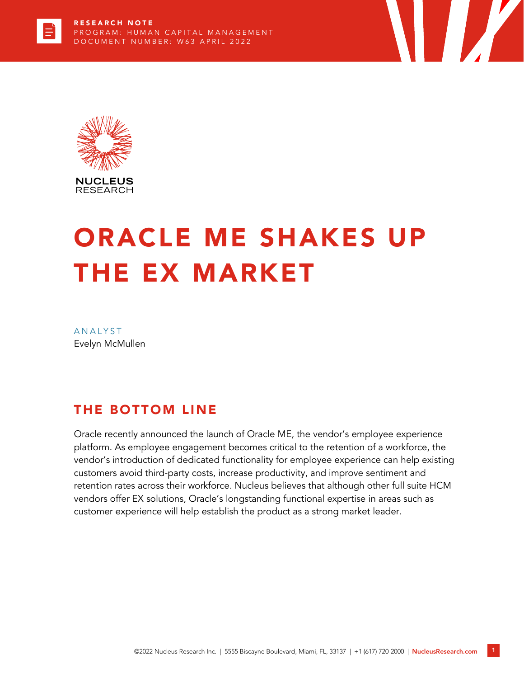



# ORACLE ME SHAKES UP THE EX MARKET

**The Second Second Second** 

**ANALYST** Evelyn McMullen

## THE BOTTOM LINE

Oracle recently announced the launch of Oracle ME, the vendor's employee experience platform. As employee engagement becomes critical to the retention of a workforce, the vendor's introduction of dedicated functionality for employee experience can help existing customers avoid third-party costs, increase productivity, and improve sentiment and retention rates across their workforce. Nucleus believes that although other full suite HCM vendors offer EX solutions, Oracle's longstanding functional expertise in areas such as customer experience will help establish the product as a strong market leader.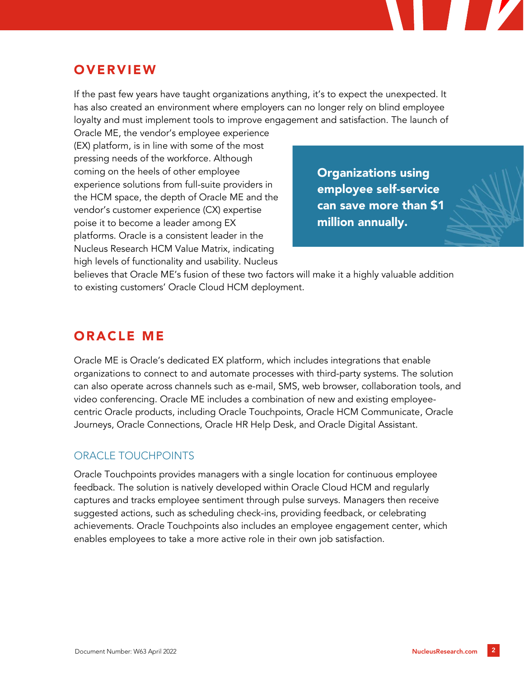## **OVERVIEW**

If the past few years have taught organizations anything, it's to expect the unexpected. It has also created an environment where employers can no longer rely on blind employee loyalty and must implement tools to improve engagement and satisfaction. The launch of

Oracle ME, the vendor's employee experience (EX) platform, is in line with some of the most pressing needs of the workforce. Although coming on the heels of other employee experience solutions from full-suite providers in the HCM space, the depth of Oracle ME and the vendor's customer experience (CX) expertise poise it to become a leader among EX platforms. Oracle is a consistent leader in the Nucleus Research HCM Value Matrix, indicating high levels of functionality and usability. Nucleus

Organizations using employee self-service can save more than \$1 million annually.

believes that Oracle ME's fusion of these two factors will make it a highly valuable addition to existing customers' Oracle Cloud HCM deployment.

## ORACLE ME

Oracle ME is Oracle's dedicated EX platform, which includes integrations that enable organizations to connect to and automate processes with third-party systems. The solution can also operate across channels such as e-mail, SMS, web browser, collaboration tools, and video conferencing. Oracle ME includes a combination of new and existing employeecentric Oracle products, including Oracle Touchpoints, Oracle HCM Communicate, Oracle Journeys, Oracle Connections, Oracle HR Help Desk, and Oracle Digital Assistant.

#### ORACLE TOUCHPOINTS

Oracle Touchpoints provides managers with a single location for continuous employee feedback. The solution is natively developed within Oracle Cloud HCM and regularly captures and tracks employee sentiment through pulse surveys. Managers then receive suggested actions, such as scheduling check-ins, providing feedback, or celebrating achievements. Oracle Touchpoints also includes an employee engagement center, which enables employees to take a more active role in their own job satisfaction.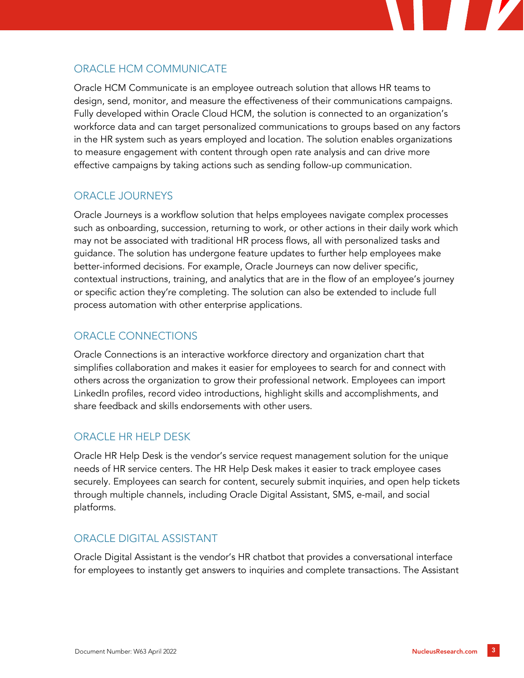## ORACLE HCM COMMUNICATE

Oracle HCM Communicate is an employee outreach solution that allows HR teams to design, send, monitor, and measure the effectiveness of their communications campaigns. Fully developed within Oracle Cloud HCM, the solution is connected to an organization's workforce data and can target personalized communications to groups based on any factors in the HR system such as years employed and location. The solution enables organizations to measure engagement with content through open rate analysis and can drive more effective campaigns by taking actions such as sending follow-up communication.

#### ORACLE JOURNEYS

Oracle Journeys is a workflow solution that helps employees navigate complex processes such as onboarding, succession, returning to work, or other actions in their daily work which may not be associated with traditional HR process flows, all with personalized tasks and guidance. The solution has undergone feature updates to further help employees make better-informed decisions. For example, Oracle Journeys can now deliver specific, contextual instructions, training, and analytics that are in the flow of an employee's journey or specific action they're completing. The solution can also be extended to include full process automation with other enterprise applications.

#### ORACLE CONNECTIONS

Oracle Connections is an interactive workforce directory and organization chart that simplifies collaboration and makes it easier for employees to search for and connect with others across the organization to grow their professional network. Employees can import LinkedIn profiles, record video introductions, highlight skills and accomplishments, and share feedback and skills endorsements with other users.

#### ORACLE HR HELP DESK

Oracle HR Help Desk is the vendor's service request management solution for the unique needs of HR service centers. The HR Help Desk makes it easier to track employee cases securely. Employees can search for content, securely submit inquiries, and open help tickets through multiple channels, including Oracle Digital Assistant, SMS, e-mail, and social platforms.

#### ORACLE DIGITAL ASSISTANT

Oracle Digital Assistant is the vendor's HR chatbot that provides a conversational interface for employees to instantly get answers to inquiries and complete transactions. The Assistant